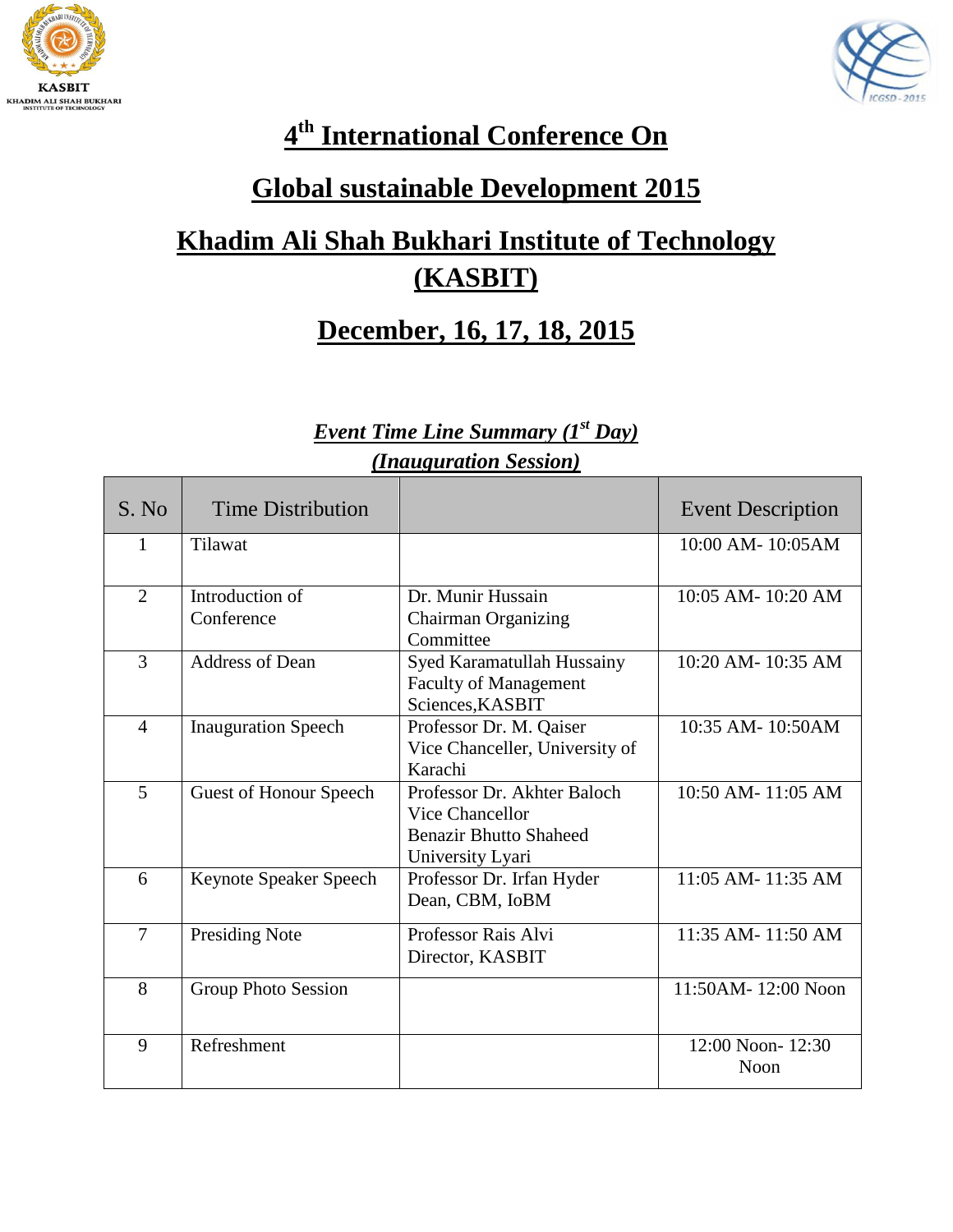



#### **4 th International Conference On**

#### **Global sustainable Development 2015**

## **Khadim Ali Shah Bukhari Institute of Technology (KASBIT)**

#### **December, 16, 17, 18, 2015**

#### *Event Time Line Summary (1st Day) (Inauguration Session)*

| S. No          | Time Distribution             |                                                                                                            | <b>Event Description</b> |
|----------------|-------------------------------|------------------------------------------------------------------------------------------------------------|--------------------------|
| 1              | Tilawat                       |                                                                                                            | 10:00 AM-10:05 AM        |
| $\overline{2}$ | Introduction of<br>Conference | Dr. Munir Hussain<br>Chairman Organizing<br>Committee                                                      | $10:05$ AM- $10:20$ AM   |
| 3              | <b>Address of Dean</b>        | Syed Karamatullah Hussainy<br><b>Faculty of Management</b><br>Sciences, KASBIT                             | 10:20 AM-10:35 AM        |
| $\overline{4}$ | <b>Inauguration Speech</b>    | Professor Dr. M. Qaiser<br>Vice Chanceller, University of<br>Karachi                                       | 10:35 AM-10:50AM         |
| 5              | <b>Guest of Honour Speech</b> | Professor Dr. Akhter Baloch<br><b>Vice Chancellor</b><br><b>Benazir Bhutto Shaheed</b><br>University Lyari | 10:50 AM-11:05 AM        |
| 6              | Keynote Speaker Speech        | Professor Dr. Irfan Hyder<br>Dean, CBM, IoBM                                                               | 11:05 AM-11:35 AM        |
| $\overline{7}$ | <b>Presiding Note</b>         | Professor Rais Alvi<br>Director, KASBIT                                                                    | 11:35 AM-11:50 AM        |
| 8              | Group Photo Session           |                                                                                                            | 11:50AM-12:00 Noon       |
| 9              | Refreshment                   |                                                                                                            | 12:00 Noon-12:30<br>Noon |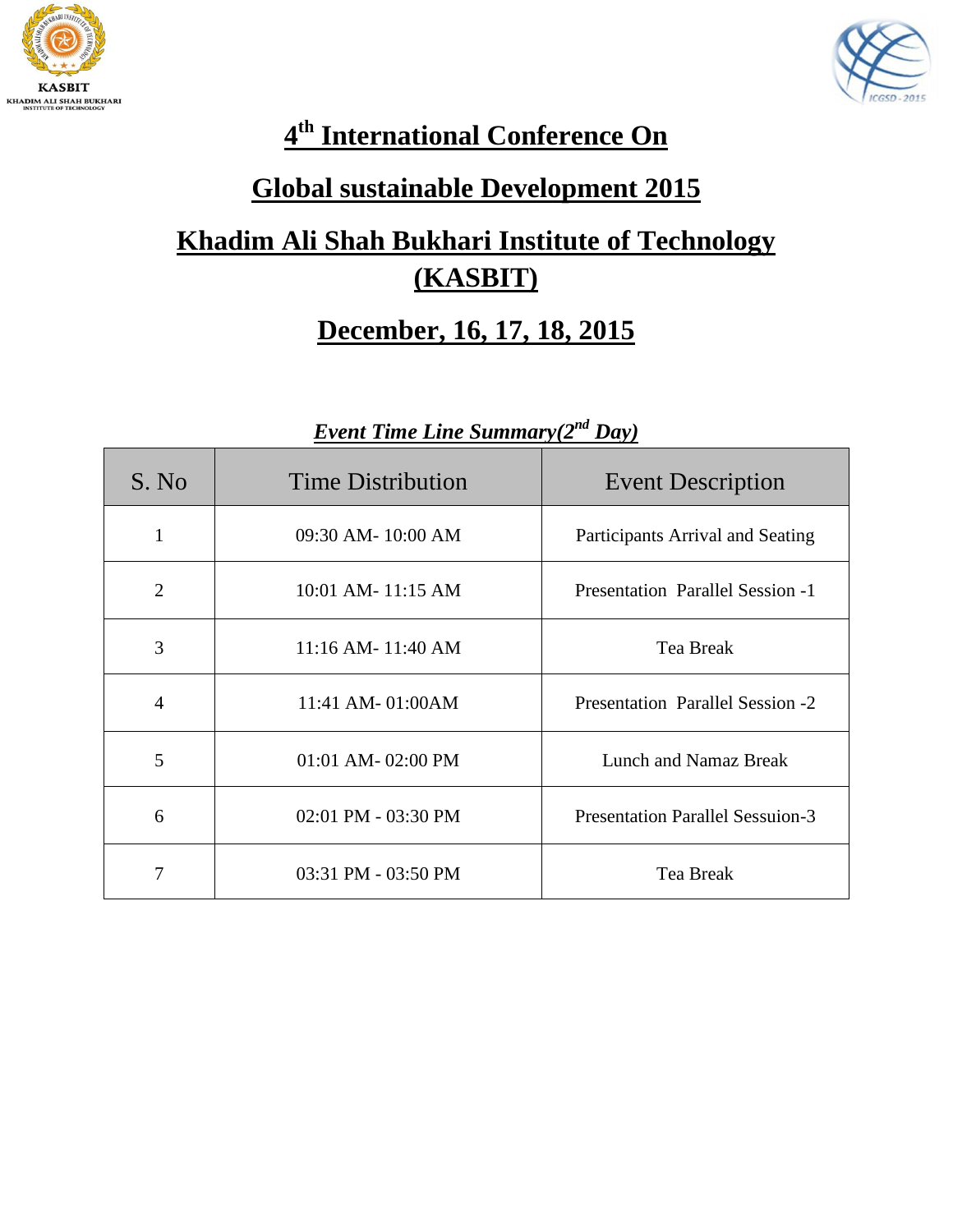



## **4 th International Conference On**

#### **Global sustainable Development 2015**

## **Khadim Ali Shah Bukhari Institute of Technology (KASBIT)**

#### **December, 16, 17, 18, 2015**

| S. No          | <b>Time Distribution</b> | <b>Event Description</b>                |
|----------------|--------------------------|-----------------------------------------|
| 1              | $09:30$ AM- $10:00$ AM   | Participants Arrival and Seating        |
| $\overline{2}$ | 10:01 AM-11:15 AM        | <b>Presentation Parallel Session -1</b> |
| 3              | 11:16 AM-11:40 AM        | <b>Tea Break</b>                        |
| $\overline{4}$ | 11:41 AM-01:00AM         | <b>Presentation Parallel Session -2</b> |
| 5              | 01:01 AM-02:00 PM        | Lunch and Namaz Break                   |
| 6              | 02:01 PM - 03:30 PM      | <b>Presentation Parallel Sessuion-3</b> |
| 7              | 03:31 PM - 03:50 PM      | <b>Tea Break</b>                        |

#### *Event Time Line Summary(2 nd Day)*